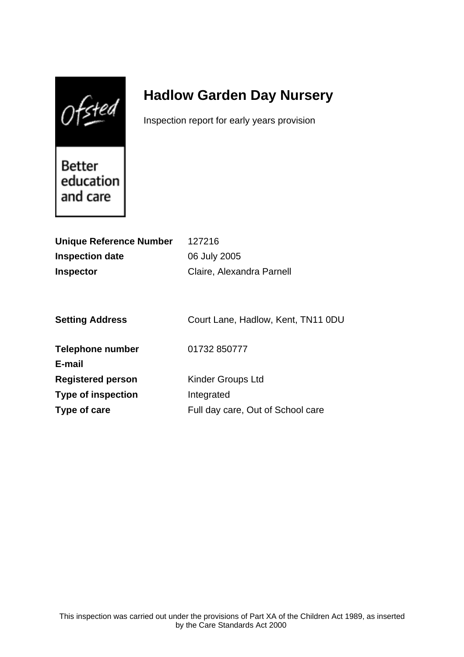$0$ fsted

# **Hadlow Garden Day Nursery**

Inspection report for early years provision

Better education and care

| Unique Reference Number   | 127216                             |
|---------------------------|------------------------------------|
| <b>Inspection date</b>    | 06 July 2005                       |
| <b>Inspector</b>          | Claire, Alexandra Parnell          |
|                           |                                    |
|                           |                                    |
| <b>Setting Address</b>    | Court Lane, Hadlow, Kent, TN11 0DU |
|                           |                                    |
| Telephone number          | 01732 850777                       |
| E-mail                    |                                    |
| <b>Registered person</b>  | <b>Kinder Groups Ltd</b>           |
| <b>Type of inspection</b> | Integrated                         |
| Type of care              | Full day care, Out of School care  |
|                           |                                    |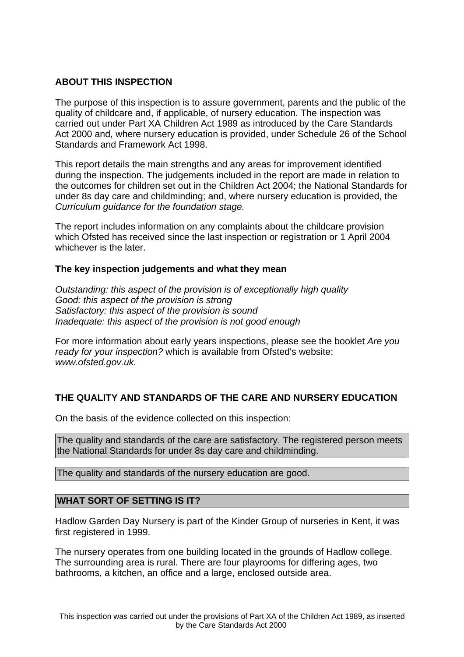## **ABOUT THIS INSPECTION**

The purpose of this inspection is to assure government, parents and the public of the quality of childcare and, if applicable, of nursery education. The inspection was carried out under Part XA Children Act 1989 as introduced by the Care Standards Act 2000 and, where nursery education is provided, under Schedule 26 of the School Standards and Framework Act 1998.

This report details the main strengths and any areas for improvement identified during the inspection. The judgements included in the report are made in relation to the outcomes for children set out in the Children Act 2004; the National Standards for under 8s day care and childminding; and, where nursery education is provided, the Curriculum guidance for the foundation stage.

The report includes information on any complaints about the childcare provision which Ofsted has received since the last inspection or registration or 1 April 2004 whichever is the later.

## **The key inspection judgements and what they mean**

Outstanding: this aspect of the provision is of exceptionally high quality Good: this aspect of the provision is strong Satisfactory: this aspect of the provision is sound Inadequate: this aspect of the provision is not good enough

For more information about early years inspections, please see the booklet Are you ready for your inspection? which is available from Ofsted's website: www.ofsted.gov.uk.

## **THE QUALITY AND STANDARDS OF THE CARE AND NURSERY EDUCATION**

On the basis of the evidence collected on this inspection:

The quality and standards of the care are satisfactory. The registered person meets the National Standards for under 8s day care and childminding.

The quality and standards of the nursery education are good.

## **WHAT SORT OF SETTING IS IT?**

Hadlow Garden Day Nursery is part of the Kinder Group of nurseries in Kent, it was first registered in 1999.

The nursery operates from one building located in the grounds of Hadlow college. The surrounding area is rural. There are four playrooms for differing ages, two bathrooms, a kitchen, an office and a large, enclosed outside area.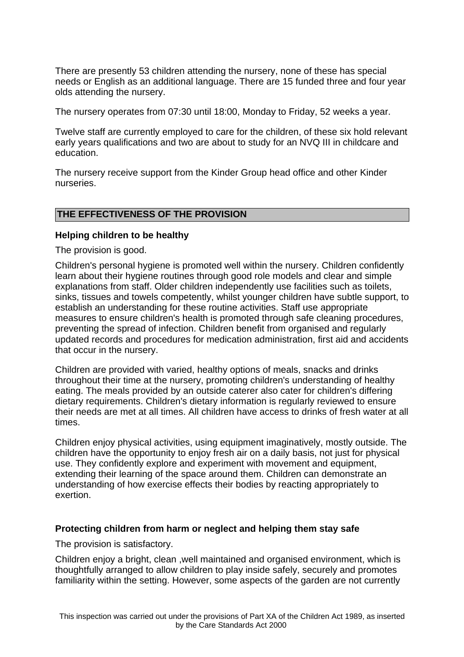There are presently 53 children attending the nursery, none of these has special needs or English as an additional language. There are 15 funded three and four year olds attending the nursery.

The nursery operates from 07:30 until 18:00, Monday to Friday, 52 weeks a year.

Twelve staff are currently employed to care for the children, of these six hold relevant early years qualifications and two are about to study for an NVQ III in childcare and education.

The nursery receive support from the Kinder Group head office and other Kinder nurseries.

## **THE EFFECTIVENESS OF THE PROVISION**

#### **Helping children to be healthy**

The provision is good.

Children's personal hygiene is promoted well within the nursery. Children confidently learn about their hygiene routines through good role models and clear and simple explanations from staff. Older children independently use facilities such as toilets, sinks, tissues and towels competently, whilst younger children have subtle support, to establish an understanding for these routine activities. Staff use appropriate measures to ensure children's health is promoted through safe cleaning procedures, preventing the spread of infection. Children benefit from organised and regularly updated records and procedures for medication administration, first aid and accidents that occur in the nursery.

Children are provided with varied, healthy options of meals, snacks and drinks throughout their time at the nursery, promoting children's understanding of healthy eating. The meals provided by an outside caterer also cater for children's differing dietary requirements. Children's dietary information is regularly reviewed to ensure their needs are met at all times. All children have access to drinks of fresh water at all times.

Children enjoy physical activities, using equipment imaginatively, mostly outside. The children have the opportunity to enjoy fresh air on a daily basis, not just for physical use. They confidently explore and experiment with movement and equipment, extending their learning of the space around them. Children can demonstrate an understanding of how exercise effects their bodies by reacting appropriately to exertion.

## **Protecting children from harm or neglect and helping them stay safe**

The provision is satisfactory.

Children enjoy a bright, clean ,well maintained and organised environment, which is thoughtfully arranged to allow children to play inside safely, securely and promotes familiarity within the setting. However, some aspects of the garden are not currently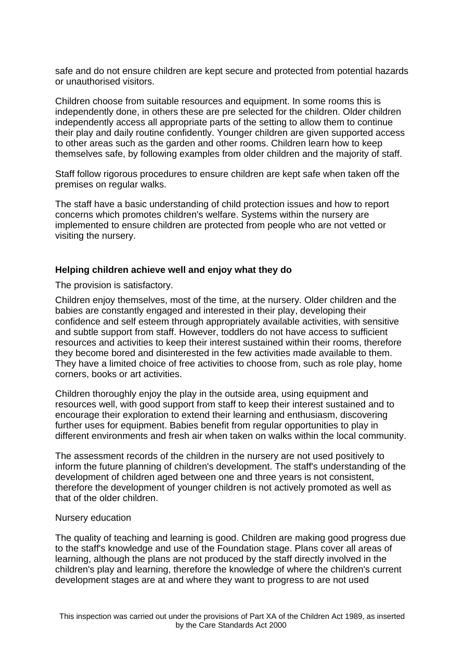safe and do not ensure children are kept secure and protected from potential hazards or unauthorised visitors.

Children choose from suitable resources and equipment. In some rooms this is independently done, in others these are pre selected for the children. Older children independently access all appropriate parts of the setting to allow them to continue their play and daily routine confidently. Younger children are given supported access to other areas such as the garden and other rooms. Children learn how to keep themselves safe, by following examples from older children and the majority of staff.

Staff follow rigorous procedures to ensure children are kept safe when taken off the premises on regular walks.

The staff have a basic understanding of child protection issues and how to report concerns which promotes children's welfare. Systems within the nursery are implemented to ensure children are protected from people who are not vetted or visiting the nursery.

## **Helping children achieve well and enjoy what they do**

The provision is satisfactory.

Children enjoy themselves, most of the time, at the nursery. Older children and the babies are constantly engaged and interested in their play, developing their confidence and self esteem through appropriately available activities, with sensitive and subtle support from staff. However, toddlers do not have access to sufficient resources and activities to keep their interest sustained within their rooms, therefore they become bored and disinterested in the few activities made available to them. They have a limited choice of free activities to choose from, such as role play, home corners, books or art activities.

Children thoroughly enjoy the play in the outside area, using equipment and resources well, with good support from staff to keep their interest sustained and to encourage their exploration to extend their learning and enthusiasm, discovering further uses for equipment. Babies benefit from regular opportunities to play in different environments and fresh air when taken on walks within the local community.

The assessment records of the children in the nursery are not used positively to inform the future planning of children's development. The staff's understanding of the development of children aged between one and three years is not consistent, therefore the development of younger children is not actively promoted as well as that of the older children.

#### Nursery education

The quality of teaching and learning is good. Children are making good progress due to the staff's knowledge and use of the Foundation stage. Plans cover all areas of learning, although the plans are not produced by the staff directly involved in the children's play and learning, therefore the knowledge of where the children's current development stages are at and where they want to progress to are not used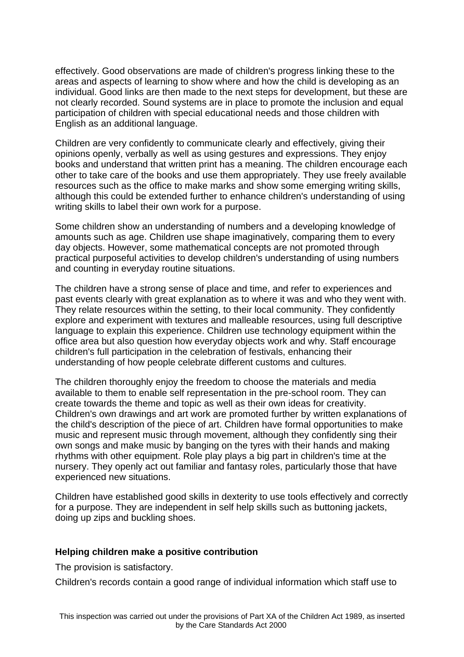effectively. Good observations are made of children's progress linking these to the areas and aspects of learning to show where and how the child is developing as an individual. Good links are then made to the next steps for development, but these are not clearly recorded. Sound systems are in place to promote the inclusion and equal participation of children with special educational needs and those children with English as an additional language.

Children are very confidently to communicate clearly and effectively, giving their opinions openly, verbally as well as using gestures and expressions. They enjoy books and understand that written print has a meaning. The children encourage each other to take care of the books and use them appropriately. They use freely available resources such as the office to make marks and show some emerging writing skills, although this could be extended further to enhance children's understanding of using writing skills to label their own work for a purpose.

Some children show an understanding of numbers and a developing knowledge of amounts such as age. Children use shape imaginatively, comparing them to every day objects. However, some mathematical concepts are not promoted through practical purposeful activities to develop children's understanding of using numbers and counting in everyday routine situations.

The children have a strong sense of place and time, and refer to experiences and past events clearly with great explanation as to where it was and who they went with. They relate resources within the setting, to their local community. They confidently explore and experiment with textures and malleable resources, using full descriptive language to explain this experience. Children use technology equipment within the office area but also question how everyday objects work and why. Staff encourage children's full participation in the celebration of festivals, enhancing their understanding of how people celebrate different customs and cultures.

The children thoroughly enjoy the freedom to choose the materials and media available to them to enable self representation in the pre-school room. They can create towards the theme and topic as well as their own ideas for creativity. Children's own drawings and art work are promoted further by written explanations of the child's description of the piece of art. Children have formal opportunities to make music and represent music through movement, although they confidently sing their own songs and make music by banging on the tyres with their hands and making rhythms with other equipment. Role play plays a big part in children's time at the nursery. They openly act out familiar and fantasy roles, particularly those that have experienced new situations.

Children have established good skills in dexterity to use tools effectively and correctly for a purpose. They are independent in self help skills such as buttoning jackets, doing up zips and buckling shoes.

#### **Helping children make a positive contribution**

The provision is satisfactory.

Children's records contain a good range of individual information which staff use to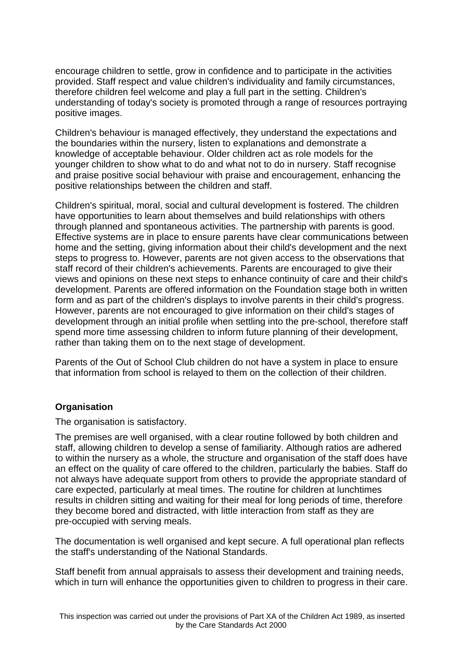encourage children to settle, grow in confidence and to participate in the activities provided. Staff respect and value children's individuality and family circumstances, therefore children feel welcome and play a full part in the setting. Children's understanding of today's society is promoted through a range of resources portraying positive images.

Children's behaviour is managed effectively, they understand the expectations and the boundaries within the nursery, listen to explanations and demonstrate a knowledge of acceptable behaviour. Older children act as role models for the younger children to show what to do and what not to do in nursery. Staff recognise and praise positive social behaviour with praise and encouragement, enhancing the positive relationships between the children and staff.

Children's spiritual, moral, social and cultural development is fostered. The children have opportunities to learn about themselves and build relationships with others through planned and spontaneous activities. The partnership with parents is good. Effective systems are in place to ensure parents have clear communications between home and the setting, giving information about their child's development and the next steps to progress to. However, parents are not given access to the observations that staff record of their children's achievements. Parents are encouraged to give their views and opinions on these next steps to enhance continuity of care and their child's development. Parents are offered information on the Foundation stage both in written form and as part of the children's displays to involve parents in their child's progress. However, parents are not encouraged to give information on their child's stages of development through an initial profile when settling into the pre-school, therefore staff spend more time assessing children to inform future planning of their development, rather than taking them on to the next stage of development.

Parents of the Out of School Club children do not have a system in place to ensure that information from school is relayed to them on the collection of their children.

## **Organisation**

The organisation is satisfactory.

The premises are well organised, with a clear routine followed by both children and staff, allowing children to develop a sense of familiarity. Although ratios are adhered to within the nursery as a whole, the structure and organisation of the staff does have an effect on the quality of care offered to the children, particularly the babies. Staff do not always have adequate support from others to provide the appropriate standard of care expected, particularly at meal times. The routine for children at lunchtimes results in children sitting and waiting for their meal for long periods of time, therefore they become bored and distracted, with little interaction from staff as they are pre-occupied with serving meals.

The documentation is well organised and kept secure. A full operational plan reflects the staff's understanding of the National Standards.

Staff benefit from annual appraisals to assess their development and training needs, which in turn will enhance the opportunities given to children to progress in their care.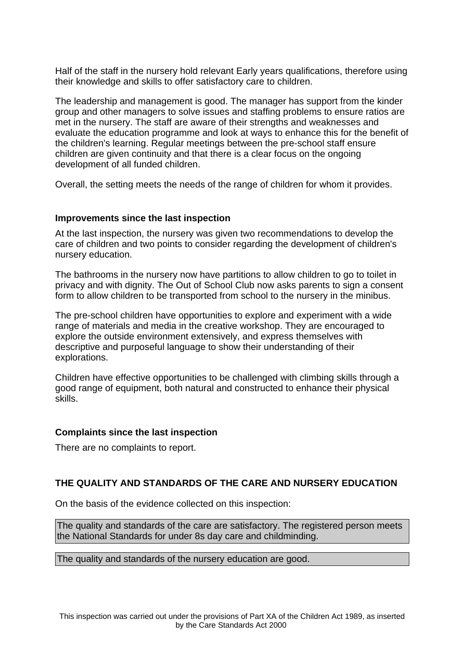Half of the staff in the nursery hold relevant Early years qualifications, therefore using their knowledge and skills to offer satisfactory care to children.

The leadership and management is good. The manager has support from the kinder group and other managers to solve issues and staffing problems to ensure ratios are met in the nursery. The staff are aware of their strengths and weaknesses and evaluate the education programme and look at ways to enhance this for the benefit of the children's learning. Regular meetings between the pre-school staff ensure children are given continuity and that there is a clear focus on the ongoing development of all funded children.

Overall, the setting meets the needs of the range of children for whom it provides.

#### **Improvements since the last inspection**

At the last inspection, the nursery was given two recommendations to develop the care of children and two points to consider regarding the development of children's nursery education.

The bathrooms in the nursery now have partitions to allow children to go to toilet in privacy and with dignity. The Out of School Club now asks parents to sign a consent form to allow children to be transported from school to the nursery in the minibus.

The pre-school children have opportunities to explore and experiment with a wide range of materials and media in the creative workshop. They are encouraged to explore the outside environment extensively, and express themselves with descriptive and purposeful language to show their understanding of their explorations.

Children have effective opportunities to be challenged with climbing skills through a good range of equipment, both natural and constructed to enhance their physical skills.

## **Complaints since the last inspection**

There are no complaints to report.

## **THE QUALITY AND STANDARDS OF THE CARE AND NURSERY EDUCATION**

On the basis of the evidence collected on this inspection:

The quality and standards of the care are satisfactory. The registered person meets the National Standards for under 8s day care and childminding.

The quality and standards of the nursery education are good.